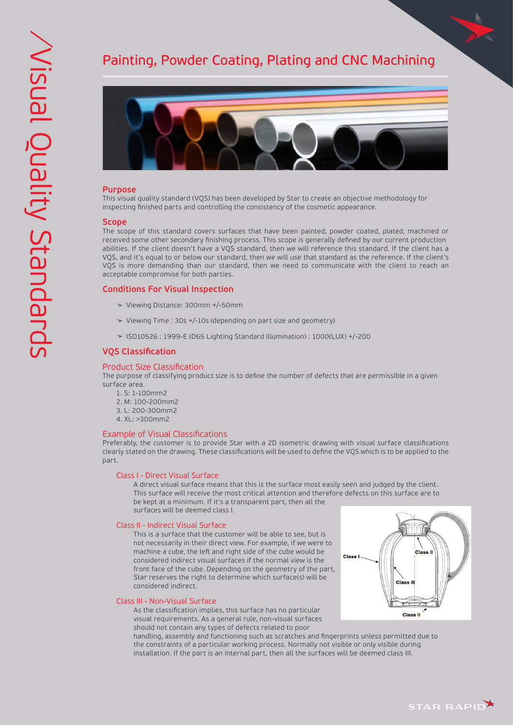# Painting, Powder Coating, Plating and CNC Machining



## **Purpose**

This visual quality standard (VQS) has been developed by Star to create an objective methodology for inspecting finished parts and controlling the consistency of the cosmetic appearance.

## **Scope**

The scope of this standard covers surfaces that have been painted, powder coated, plated, machined or received some other secondary finishing process. This scope is generally defined by our current production abilities. If the client doesn't have a VQS standard, then we will reference this standard. If the client has a VQS, and it's equal to or below our standard, then we will use that standard as the reference. If the client's VQS is more demanding than our standard, then we need to communicate with the client to reach an acceptable compromise for both parties.

## **Conditions For Visual Inspection**

- Viewing Distance: 300mm +/-50mm
- Viewing Time : 30s +/-10s (depending on part size and geometry)
- ISO10526 : 1999-E (D65 Lighting Standard Illumination) : 1000(LUX) +/-200

## **VQS Classification**

#### Product Size Classification

The purpose of classifying product size is to define the number of defects that are permissible in a given surface area.

- 1. S: 1-100mm2
- 2. M: 100-200mm2
- 3. L: 200-300mm2
- 4. XL: >300mm2

#### Example of Visual Classifications

Preferably, the customer is to provide Star with a 2D isometric drawing with visual surface classifications clearly stated on the drawing. These classifications will be used to define the VQS which is to be applied to the part.

## Class I - Direct Visual Surface

 A direct visual surface means that this is the surface most easily seen and judged by the client. This surface will receive the most critical attention and therefore defects on this surface are to be kept at a minimum. If it's a transparent part, then all the surfaces will be deemed class I.

### Class II - Indirect Visual Surface

 This is a surface that the customer will be able to see, but is not necessarily in their direct view. For example, if we were to machine a cube, the left and right side of the cube would be considered indirect visual surfaces if the normal view is the front face of the cube. Depending on the geometry of the part, Star reserves the right to determine which surface(s) will be considered indirect.



 As the classification implies, this surface has no particular visual requirements. As a general rule, non-visual surfaces should not contain any types of defects related to poor

 handling, assembly and functioning such as scratches and fingerprints unless permitted due to the constraints of a particular working process. Normally not visible or only visible during installation. If the part is an internal part, then all the surfaces will be deemed class III.